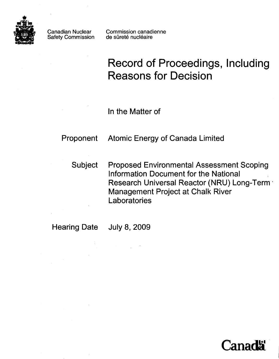

Canadian Nuclear Safety Commission Commission canadienne de sûreté nucléaire

# **Record of Proceedings, Including Reasons for Decision**

In the Matter of

Proponent Atomic Energy of Canada Limited

Subject Proposed Environmental Assessment Scoping Information Document for the National Research Universal Reactor (NRU) Long-Term' Management Project at Chalk River **Laboratories** 

Hearing Date July 8, 2009

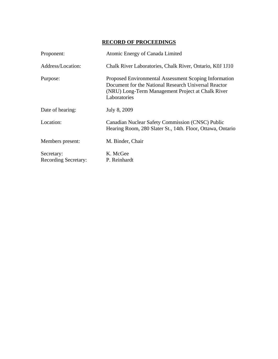# **RECORD OF PROCEEDINGS**

| Proponent:                                | Atomic Energy of Canada Limited                                                                                                                                                    |
|-------------------------------------------|------------------------------------------------------------------------------------------------------------------------------------------------------------------------------------|
| Address/Location:                         | Chalk River Laboratories, Chalk River, Ontario, K0J 1J10                                                                                                                           |
| Purpose:                                  | Proposed Environmental Assessment Scoping Information<br>Document for the National Research Universal Reactor<br>(NRU) Long-Term Management Project at Chalk River<br>Laboratories |
| Date of hearing:                          | July 8, 2009                                                                                                                                                                       |
| Location:                                 | Canadian Nuclear Safety Commission (CNSC) Public<br>Hearing Room, 280 Slater St., 14th. Floor, Ottawa, Ontario                                                                     |
| Members present:                          | M. Binder, Chair                                                                                                                                                                   |
| Secretary:<br><b>Recording Secretary:</b> | K. McGee<br>P. Reinhardt                                                                                                                                                           |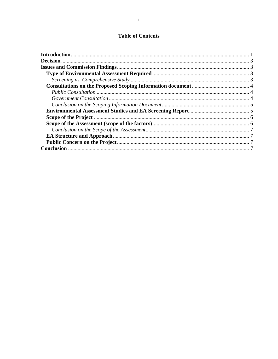# **Table of Contents**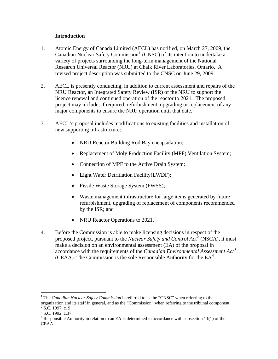## **Introduction**

- <span id="page-3-0"></span>1. Atomic Energy of Canada Limited (AECL) has notified, on March 27, 2009, the Canadian Nuclear Safety Commission<sup>[1](#page-3-1)</sup> (CNSC) of its intention to undertake a variety of projects surrounding the long-term management of the National Research Universal Reactor (NRU) at Chalk River Laboratories, Ontario. A revised project description was submitted to the CNSC on June 29, 2009.
- 2. AECL is presently conducting, in addition to current assessment and repairs of the NRU Reactor, an Integrated Safety Review (ISR) of the NRU to support the licence renewal and continued operation of the reactor to 2021. The proposed project may include, if required, refurbishment, upgrading or replacement of any major components to ensure the NRU operation until that date.
- 3. AECL's proposal includes modifications to existing facilities and installation of new supporting infrastructure:
	- NRU Reactor Building Rod Bay encapsulation;
	- Replacement of Moly Production Facility (MPF) Ventilation System;
	- Connection of MPF to the Active Drain System;
	- Light Water Detritiation Facility(LWDF);
	- Fissile Waste Storage System (FWSS);
	- Waste management infrastructure for large items generated by future refurbishment, upgrading of replacement of components recommended by the ISR; and
	- NRU Reactor Operations to 2021.
- 4. Before the Commission is able to make licensing decisions in respect of the proposed project, pursuant to the *Nuclear Safety and Control Act*<sup>[2](#page-3-2)</sup> (NSCA), it must make a decision on an environmental assessment (EA) of the proposal in accordance with the requirements of the *Canadian Environmental Assessment Act*[3](#page-3-3) (CEAA). The Commission is the sole Responsible Authority for the  $EA<sup>4</sup>$  $EA<sup>4</sup>$  $EA<sup>4</sup>$ .

 $\overline{a}$ 

<span id="page-3-1"></span><sup>&</sup>lt;sup>1</sup> The *Canadian Nuclear Safety Commission* is referred to as the "CNSC" when referring to the

<span id="page-3-2"></span>organization and its staff in general, and as the "Commission" when referring to the tribunal component.  $2$  S.C. 1997, c. 9.

 $3$  S.C. 1992, c.37.

<span id="page-3-4"></span><span id="page-3-3"></span> $4$  Responsible Authority in relation to an EA is determined in accordance with subsection 11(1) of the CEAA.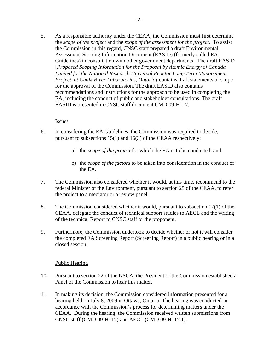5. As a responsible authority under the CEAA, the Commission must first determine the *scope of the project* and the *scope of the assessment for the project*. To assist the Commission in this regard, CNSC staff prepared a draft Environmental Assessment Scoping Information Document (EASID) (formerly called EA Guidelines) in consultation with other government departments. The draft EASID [*Proposed Scoping Information for the Proposal by Atomic Energy of Canada Limited for the National Research Universal Reactor Long-Term Management Project at Chalk River Laboratories, Ontario]* contains draft statements of scope for the approval of the Commission. The draft EASID also contains recommendations and instructions for the approach to be used in completing the EA, including the conduct of public and stakeholder consultations. The draft EASID is presented in CNSC staff document CMD 09-H117.

#### Issues

- 6. In considering the EA Guidelines, the Commission was required to decide, pursuant to subsections 15(1) and 16(3) of the CEAA respectively:
	- a) the *scope of the project* for which the EA is to be conducted; and
	- b) the *scope of the factors* to be taken into consideration in the conduct of the EA.
- 7. The Commission also considered whether it would, at this time, recommend to the federal Minister of the Environment, pursuant to section 25 of the CEAA, to refer the project to a mediator or a review panel.
- 8. The Commission considered whether it would, pursuant to subsection 17(1) of the CEAA, delegate the conduct of technical support studies to AECL and the writing of the technical Report to CNSC staff or the proponent.
- 9. Furthermore, the Commission undertook to decide whether or not it will consider the completed EA Screening Report (Screening Report) in a public hearing or in a closed session.

#### Public Hearing

- 10. Pursuant to section 22 of the NSCA, the President of the Commission established a Panel of the Commission to hear this matter.
- 11. In making its decision, the Commission considered information presented for a hearing held on July 8, 2009 in Ottawa, Ontario. The hearing was conducted in accordance with the Commission's process for determining matters under the CEAA. During the hearing, the Commission received written submissions from CNSC staff (CMD 09-H117) and AECL (CMD 09-H117.1).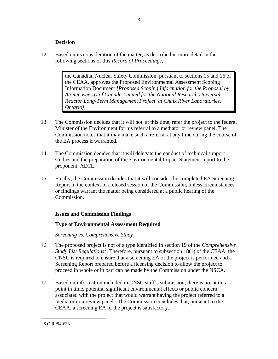## **Decision**

<span id="page-5-0"></span>12. Based on its consideration of the matter, as described in more detail in the following sections of this *Record of Proceedings*,

> the Canadian Nuclear Safety Commission, pursuant to sections 15 and 16 of the CEAA, approves the Proposed Environmental Assessment Scoping Information Document *[Proposed Scoping Information for the Proposal by Atomic Energy of Canada Limited for the National Research Universal Reactor Long-Term Management Project at Chalk River Laboratories, Ontario].*

- 13. The Commission decides that it will not, at this time, refer the project to the federal Minister of the Environment for his referral to a mediator or review panel. The Commission notes that it may make such a referral at any time during the course of the EA process if warranted.
- 14. The Commission decides that it will delegate the conduct of technical support studies and the preparation of the Environmental Impact Statement report to the proponent, AECL.
- 15. Finally, the Commission decides that it will consider the completed EA Screening Report in the context of a closed session of the Commission, unless circumstances or findings warrant the matter being considered at a public hearing of the Commission.

# **Issues and Commission Findings**

# **Type of Environmental Assessment Required**

*Screening vs. Comprehensive Study* 

- 16. The proposed project is not of a type identified in section 19 of the *Comprehensive Study List Regulations*<sup>[5](#page-5-1)</sup>. Therefore, pursuant to subsection 18(1) of the CEAA, the CNSC is required to ensure that a screening EA of the project is performed and a Screening Report prepared before a licensing decision to allow the project to proceed in whole or in part can be made by the Commission under the NSCA.
- 17. Based on information included in CNSC staff's submission, there is no, at this point in time, potential significant environmental effects or public concern associated with the project that would warrant having the project referred to a mediator or a review panel. The Commission concludes that, pursuant to the CEAA, a screening EA of the project is satisfactory.

 $\overline{a}$ 

<span id="page-5-1"></span> $5$  S.O.R./94-638.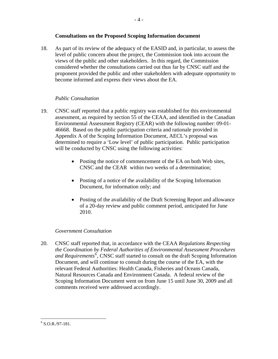## **Consultations on the Proposed Scoping Information document**

<span id="page-6-0"></span>18. As part of its review of the adequacy of the EASID and, in particular, to assess the level of public concern about the project, the Commission took into account the views of the public and other stakeholders. In this regard, the Commission considered whether the consultations carried out thus far by CNSC staff and the proponent provided the public and other stakeholders with adequate opportunity to become informed and express their views about the EA.

## *Public Consultation*

- 19. CNSC staff reported that a public registry was established for this environmental assessment, as required by section 55 of the CEAA, and identified in the Canadian Environmental Assessment Registry (CEAR) with the following number: 09-01- 46668. Based on the public participation criteria and rationale provided in Appendix A of the Scoping Information Document, AECL's proposal was determined to require a 'Low level' of public participation. Public participation will be conducted by CNSC using the following activities:
	- Posting the notice of commencement of the EA on both Web sites, CNSC and the CEAR within two weeks of a determination;
	- Posting of a notice of the availability of the Scoping Information Document, for information only; and
	- Posting of the availability of the Draft Screening Report and allowance of a 20-day review and public comment period, anticipated for June 2010.

#### *Government Consultation*

20. CNSC staff reported that, in accordance with the CEAA *Regulations Respecting the Coordination by Federal Authorities of Environmental Assessment Procedures*  and Requirements<sup>[6](#page-6-1)</sup>, CNSC staff started to consult on the draft Scoping Information Document, and will continue to consult during the course of the EA, with the relevant Federal Authorities: Health Canada, Fisheries and Oceans Canada, Natural Resources Canada and Environment Canada. A federal review of the Scoping Information Document went on from June 15 until June 30, 2009 and all comments received were addressed accordingly.

 $\overline{a}$ 

<span id="page-6-1"></span> $6$  S.O.R./97-181.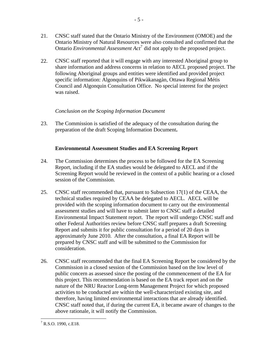<span id="page-7-0"></span>21. CNSC staff stated that the Ontario Ministry of the Environment (OMOE) and the Ontario Ministry of Natural Resources were also consulted and confirmed that the Ontario *Environmental Assessment Act*[7](#page-7-1) did not apply to the proposed project.

- 5 -

22. CNSC staff reported that it will engage with any interested Aboriginal group to share information and address concerns in relation to AECL proposed project. The following Aboriginal groups and entities were identified and provided project specific information: Algonquins of Pikwàkanagàn, Ottawa Regional Métis Council and Algonquin Consultation Office. No special interest for the project was raised.

# *Conclusion on the Scoping Information Document*

23. The Commission is satisfied of the adequacy of the consultation during the preparation of the draft Scoping Information Document**.** 

# **Environmental Assessment Studies and EA Screening Report**

- 24. The Commission determines the process to be followed for the EA Screening Report, including if the EA studies would be delegated to AECL and if the Screening Report would be reviewed in the context of a public hearing or a closed session of the Commission.
- 25. CNSC staff recommended that, pursuant to Subsection 17(1) of the CEAA, the technical studies required by CEAA be delegated to AECL. AECL will be provided with the scoping information document to carry out the environmental assessment studies and will have to submit later to CNSC staff a detailed Environmental Impact Statement report. The report will undergo CNSC staff and other Federal Authorities review before CNSC staff prepares a draft Screening Report and submits it for public consultation for a period of 20 days in approximately June 2010. After the consultation, a final EA Report will be prepared by CNSC staff and will be submitted to the Commission for consideration.
- 26. CNSC staff recommended that the final EA Screening Report be considered by the Commission in a closed session of the Commission based on the low level of public concern as assessed since the posting of the commencement of the EA for this project. This recommendation is based on the EA track report and on the nature of the NRU Reactor Long-term Management Project for which proposed activities to be conducted are within the well-characterized existing site, and therefore, having limited environmental interactions that are already identified. CNSC staff noted that, if during the current EA, it became aware of changes to the above rationale, it will notify the Commission.

<span id="page-7-1"></span><sup>&</sup>lt;u>.</u>  $7$  R.S.O. 1990, c.E18.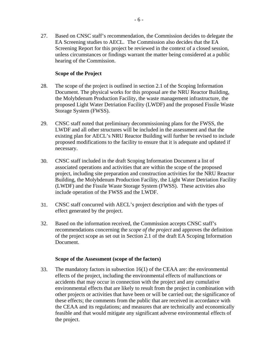<span id="page-8-0"></span>27. Based on CNSC staff's recommendation, the Commission decides to delegate the EA Screening studies to AECL. The Commission also decides that the EA Screening Report for this project be reviewed in the context of a closed session, unless circumstances or findings warrant the matter being considered at a public hearing of the Commission.

## **Scope of the Project**

- 28. The scope of the project is outlined in section 2.1 of the Scoping Information Document. The physical works for this proposal are the NRU Reactor Building, the Molybdenum Production Facility, the waste management infrastructure, the proposed Light Water Detriation Facility (LWDF) and the proposed Fissile Waste Storage System (FWSS).
- 29. CNSC staff noted that preliminary decommissioning plans for the FWSS, the LWDF and all other structures will be included in the assessment and that the existing plan for AECL's NRU Reactor Building will further be revised to include proposed modifications to the facility to ensure that it is adequate and updated if necessary.
- 30. CNSC staff included in the draft Scoping Information Document a list of associated operations and activities that are within the scope of the proposed project, including site preparation and construction activities for the NRU Reactor Building, the Molybdenum Production Facility, the Light Water Detriation Facility (LWDF) and the Fissile Waste Storage System (FWSS). These activities also include operation of the FWSS and the LWDF.
- 31. CNSC staff concurred with AECL's project description and with the types of effect generated by the project.
- 32. Based on the information received, the Commission accepts CNSC staff's recommendations concerning the *scope of the project* and approves the definition of the project scope as set out in Section 2.1 of the draft EA Scoping Information Document.

#### **Scope of the Assessment (scope of the factors)**

33. The mandatory factors in subsection 16(1) of the CEAA are: the environmental effects of the project, including the environmental effects of malfunctions or accidents that may occur in connection with the project and any cumulative environmental effects that are likely to result from the project in combination with other projects or activities that have been or will be carried out; the significance of these effects; the comments from the public that are received in accordance with the CEAA and its regulations; and measures that are technically and economically feasible and that would mitigate any significant adverse environmental effects of the project.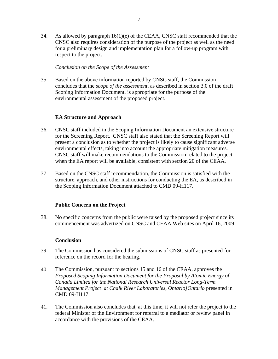<span id="page-9-0"></span>34. As allowed by paragraph  $16(1)(e)$  of the CEAA, CNSC staff recommended that the CNSC also requires consideration of the purpose of the project as well as the need for a preliminary design and implementation plan for a follow-up program with respect to the project.

#### *Conclusion on the Scope of the Assessment*

35. Based on the above information reported by CNSC staff, the Commission concludes that the *scope of the assessment*, as described in section 3.0 of the draft Scoping Information Document, is appropriate for the purpose of the environmental assessment of the proposed project.

## **EA Structure and Approach**

- 36. CNSC staff included in the Scoping Information Document an extensive structure for the Screening Report. CNSC staff also stated that the Screening Report will present a conclusion as to whether the project is likely to cause significant adverse environmental effects, taking into account the appropriate mitigation measures. CNSC staff will make recommendations to the Commission related to the project when the EA report will be available, consistent with section 20 of the CEAA.
- 37. Based on the CNSC staff recommendation, the Commission is satisfied with the structure, approach, and other instructions for conducting the EA, as described in the Scoping Information Document attached to CMD 09-H117.

#### **Public Concern on the Project**

38. No specific concerns from the public were raised by the proposed project since its commencement was advertized on CNSC and CEAA Web sites on April 16, 2009.

#### **Conclusion**

- 39. The Commission has considered the submissions of CNSC staff as presented for reference on the record for the hearing.
- 40. The Commission, pursuant to sections 15 and 16 of the CEAA, approves the *Proposed Scoping Information Document for the Proposal by Atomic Energy of Canada Limited for the National Research Universal Reactor Long-Term Management Project at Chalk River Laboratories, Ontario]Ontario* presented in CMD 09-H117.
- 41. The Commission also concludes that, at this time, it will not refer the project to the federal Minister of the Environment for referral to a mediator or review panel in accordance with the provisions of the CEAA.